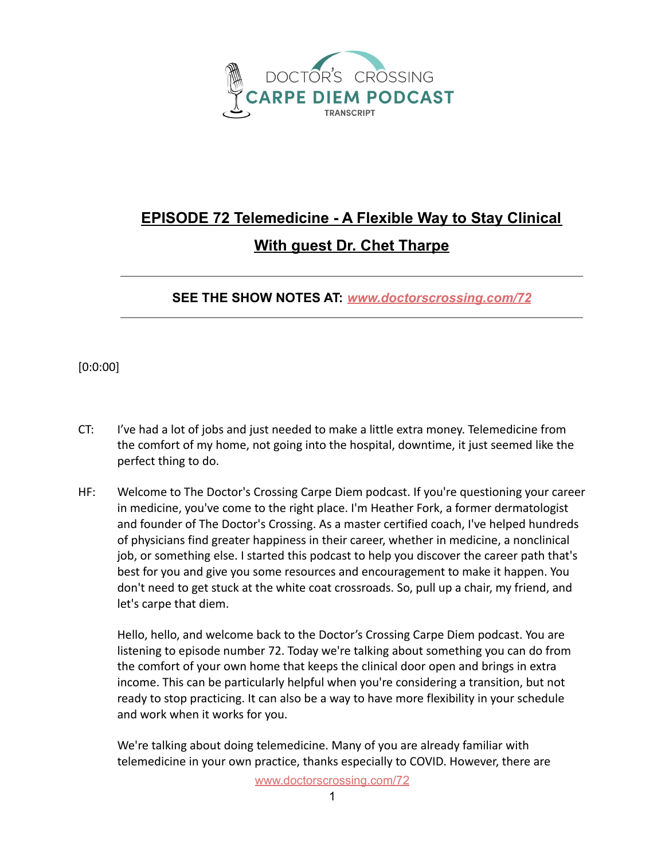

## **EPISODE 72 Telemedicine - A Flexible Way to Stay Clinical With guest Dr. Chet Tharpe**

**SEE THE SHOW NOTES AT:** *[www.doctorscrossing.com/72](http://www.doctorscrossing.com/72)*

[0:0:00]

- CT: I've had a lot of jobs and just needed to make a little extra money. Telemedicine from the comfort of my home, not going into the hospital, downtime, it just seemed like the perfect thing to do.
- HF: Welcome to The Doctor's Crossing Carpe Diem podcast. If you're questioning your career in medicine, you've come to the right place. I'm Heather Fork, a former dermatologist and founder of The Doctor's Crossing. As a master certified coach, I've helped hundreds of physicians find greater happiness in their career, whether in medicine, a nonclinical job, or something else. I started this podcast to help you discover the career path that's best for you and give you some resources and encouragement to make it happen. You don't need to get stuck at the white coat crossroads. So, pull up a chair, my friend, and let's carpe that diem.

Hello, hello, and welcome back to the Doctor's Crossing Carpe Diem podcast. You are listening to episode number 72. Today we're talking about something you can do from the comfort of your own home that keeps the clinical door open and brings in extra income. This can be particularly helpful when you're considering a transition, but not ready to stop practicing. It can also be a way to have more flexibility in your schedule and work when it works for you.

We're talking about doing telemedicine. Many of you are already familiar with telemedicine in your own practice, thanks especially to COVID. However, there are

[www.doctorscrossing.com/72](http://www.doctorscrossing.com/72)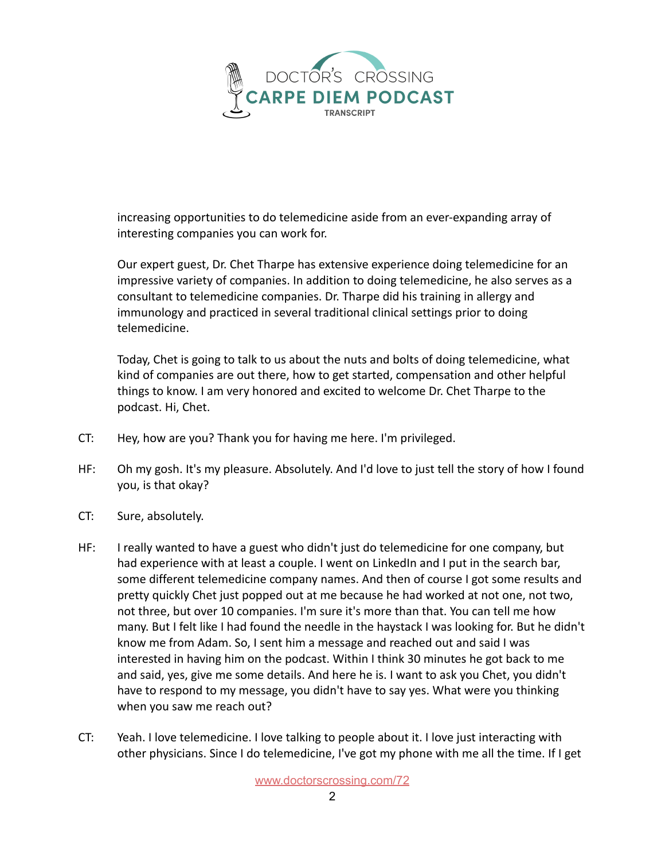

increasing opportunities to do telemedicine aside from an ever-expanding array of interesting companies you can work for.

Our expert guest, Dr. Chet Tharpe has extensive experience doing telemedicine for an impressive variety of companies. In addition to doing telemedicine, he also serves as a consultant to telemedicine companies. Dr. Tharpe did his training in allergy and immunology and practiced in several traditional clinical settings prior to doing telemedicine.

Today, Chet is going to talk to us about the nuts and bolts of doing telemedicine, what kind of companies are out there, how to get started, compensation and other helpful things to know. I am very honored and excited to welcome Dr. Chet Tharpe to the podcast. Hi, Chet.

- CT: Hey, how are you? Thank you for having me here. I'm privileged.
- HF: Oh my gosh. It's my pleasure. Absolutely. And I'd love to just tell the story of how I found you, is that okay?
- CT: Sure, absolutely.
- HF: I really wanted to have a guest who didn't just do telemedicine for one company, but had experience with at least a couple. I went on LinkedIn and I put in the search bar, some different telemedicine company names. And then of course I got some results and pretty quickly Chet just popped out at me because he had worked at not one, not two, not three, but over 10 companies. I'm sure it's more than that. You can tell me how many. But I felt like I had found the needle in the haystack I was looking for. But he didn't know me from Adam. So, I sent him a message and reached out and said I was interested in having him on the podcast. Within I think 30 minutes he got back to me and said, yes, give me some details. And here he is. I want to ask you Chet, you didn't have to respond to my message, you didn't have to say yes. What were you thinking when you saw me reach out?
- CT: Yeah. I love telemedicine. I love talking to people about it. I love just interacting with other physicians. Since I do telemedicine, I've got my phone with me all the time. If I get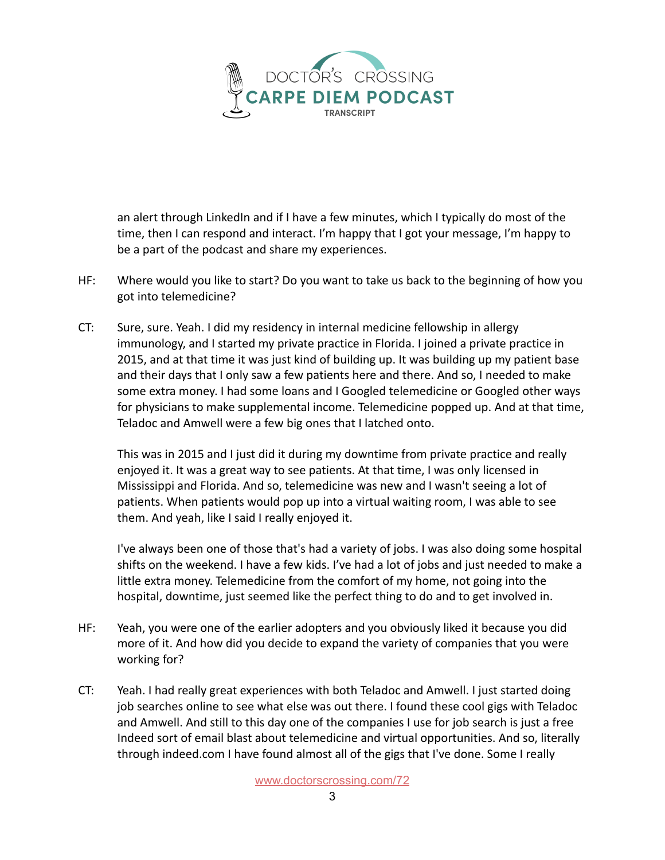

an alert through LinkedIn and if I have a few minutes, which I typically do most of the time, then I can respond and interact. I'm happy that I got your message, I'm happy to be a part of the podcast and share my experiences.

- HF: Where would you like to start? Do you want to take us back to the beginning of how you got into telemedicine?
- CT: Sure, sure. Yeah. I did my residency in internal medicine fellowship in allergy immunology, and I started my private practice in Florida. I joined a private practice in 2015, and at that time it was just kind of building up. It was building up my patient base and their days that I only saw a few patients here and there. And so, I needed to make some extra money. I had some loans and I Googled telemedicine or Googled other ways for physicians to make supplemental income. Telemedicine popped up. And at that time, Teladoc and Amwell were a few big ones that I latched onto.

This was in 2015 and I just did it during my downtime from private practice and really enjoyed it. It was a great way to see patients. At that time, I was only licensed in Mississippi and Florida. And so, telemedicine was new and I wasn't seeing a lot of patients. When patients would pop up into a virtual waiting room, I was able to see them. And yeah, like I said I really enjoyed it.

I've always been one of those that's had a variety of jobs. I was also doing some hospital shifts on the weekend. I have a few kids. I've had a lot of jobs and just needed to make a little extra money. Telemedicine from the comfort of my home, not going into the hospital, downtime, just seemed like the perfect thing to do and to get involved in.

- HF: Yeah, you were one of the earlier adopters and you obviously liked it because you did more of it. And how did you decide to expand the variety of companies that you were working for?
- CT: Yeah. I had really great experiences with both Teladoc and Amwell. I just started doing job searches online to see what else was out there. I found these cool gigs with Teladoc and Amwell. And still to this day one of the companies I use for job search is just a free Indeed sort of email blast about telemedicine and virtual opportunities. And so, literally through indeed.com I have found almost all of the gigs that I've done. Some I really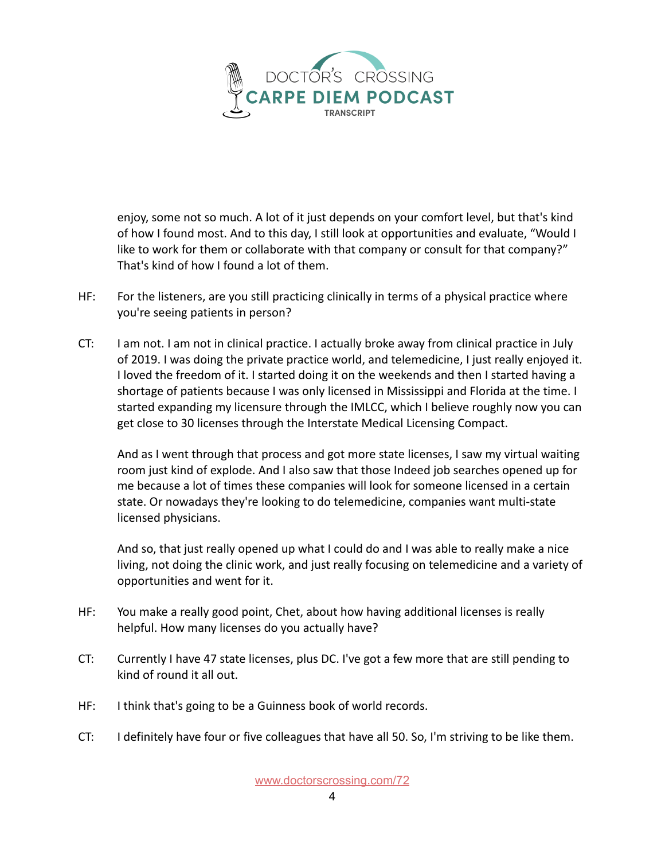

enjoy, some not so much. A lot of it just depends on your comfort level, but that's kind of how I found most. And to this day, I still look at opportunities and evaluate, "Would I like to work for them or collaborate with that company or consult for that company?" That's kind of how I found a lot of them.

- HF: For the listeners, are you still practicing clinically in terms of a physical practice where you're seeing patients in person?
- CT: I am not. I am not in clinical practice. I actually broke away from clinical practice in July of 2019. I was doing the private practice world, and telemedicine, I just really enjoyed it. I loved the freedom of it. I started doing it on the weekends and then I started having a shortage of patients because I was only licensed in Mississippi and Florida at the time. I started expanding my licensure through the IMLCC, which I believe roughly now you can get close to 30 licenses through the Interstate Medical Licensing Compact.

And as I went through that process and got more state licenses, I saw my virtual waiting room just kind of explode. And I also saw that those Indeed job searches opened up for me because a lot of times these companies will look for someone licensed in a certain state. Or nowadays they're looking to do telemedicine, companies want multi-state licensed physicians.

And so, that just really opened up what I could do and I was able to really make a nice living, not doing the clinic work, and just really focusing on telemedicine and a variety of opportunities and went for it.

- HF: You make a really good point, Chet, about how having additional licenses is really helpful. How many licenses do you actually have?
- CT: Currently I have 47 state licenses, plus DC. I've got a few more that are still pending to kind of round it all out.
- HF: I think that's going to be a Guinness book of world records.
- CT: I definitely have four or five colleagues that have all 50. So, I'm striving to be like them.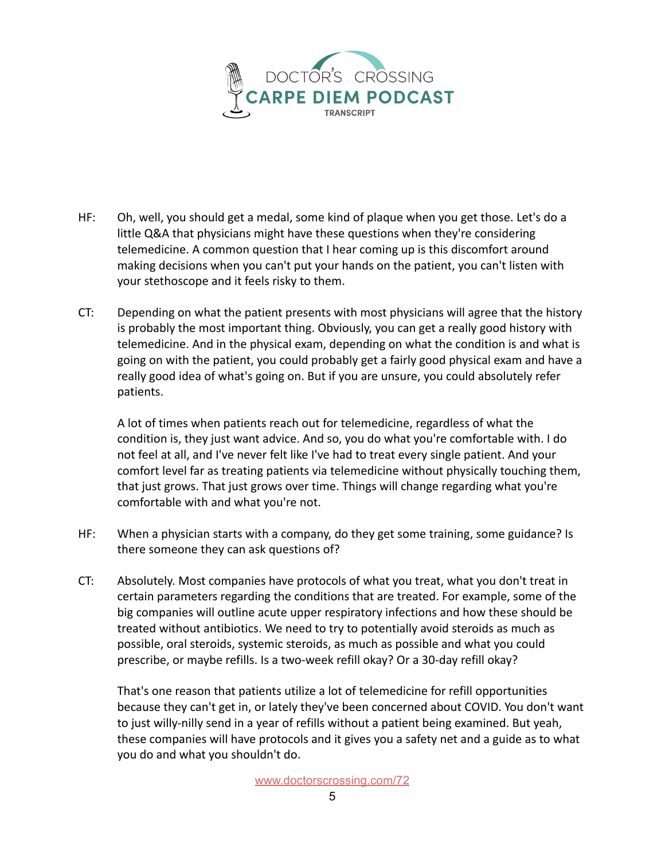

- HF: Oh, well, you should get a medal, some kind of plaque when you get those. Let's do a little Q&A that physicians might have these questions when they're considering telemedicine. A common question that I hear coming up is this discomfort around making decisions when you can't put your hands on the patient, you can't listen with your stethoscope and it feels risky to them.
- CT: Depending on what the patient presents with most physicians will agree that the history is probably the most important thing. Obviously, you can get a really good history with telemedicine. And in the physical exam, depending on what the condition is and what is going on with the patient, you could probably get a fairly good physical exam and have a really good idea of what's going on. But if you are unsure, you could absolutely refer patients.

A lot of times when patients reach out for telemedicine, regardless of what the condition is, they just want advice. And so, you do what you're comfortable with. I do not feel at all, and I've never felt like I've had to treat every single patient. And your comfort level far as treating patients via telemedicine without physically touching them, that just grows. That just grows over time. Things will change regarding what you're comfortable with and what you're not.

- HF: When a physician starts with a company, do they get some training, some guidance? Is there someone they can ask questions of?
- CT: Absolutely. Most companies have protocols of what you treat, what you don't treat in certain parameters regarding the conditions that are treated. For example, some of the big companies will outline acute upper respiratory infections and how these should be treated without antibiotics. We need to try to potentially avoid steroids as much as possible, oral steroids, systemic steroids, as much as possible and what you could prescribe, or maybe refills. Is a two-week refill okay? Or a 30-day refill okay?

That's one reason that patients utilize a lot of telemedicine for refill opportunities because they can't get in, or lately they've been concerned about COVID. You don't want to just willy-nilly send in a year of refills without a patient being examined. But yeah, these companies will have protocols and it gives you a safety net and a guide as to what you do and what you shouldn't do.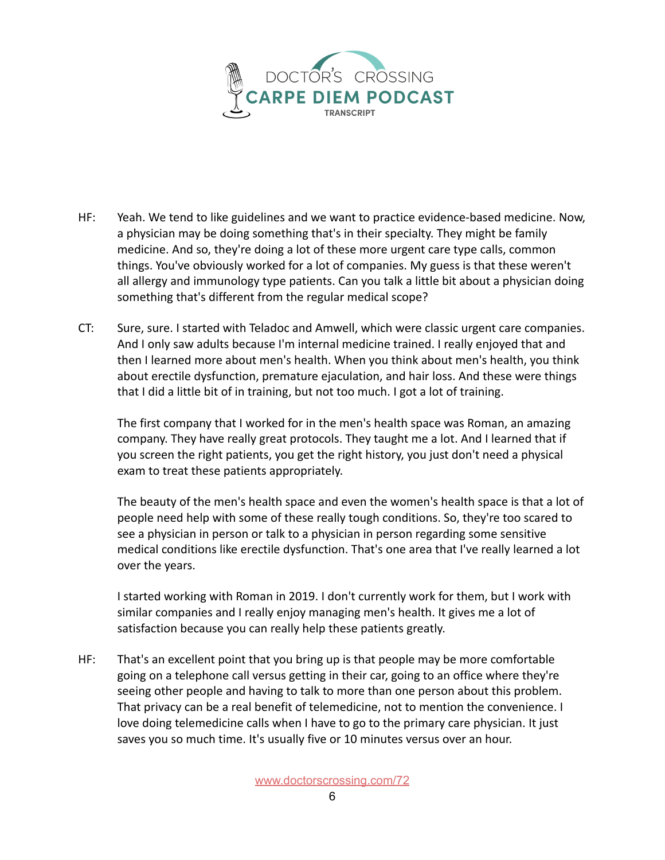

- HF: Yeah. We tend to like guidelines and we want to practice evidence-based medicine. Now, a physician may be doing something that's in their specialty. They might be family medicine. And so, they're doing a lot of these more urgent care type calls, common things. You've obviously worked for a lot of companies. My guess is that these weren't all allergy and immunology type patients. Can you talk a little bit about a physician doing something that's different from the regular medical scope?
- CT: Sure, sure. I started with Teladoc and Amwell, which were classic urgent care companies. And I only saw adults because I'm internal medicine trained. I really enjoyed that and then I learned more about men's health. When you think about men's health, you think about erectile dysfunction, premature ejaculation, and hair loss. And these were things that I did a little bit of in training, but not too much. I got a lot of training.

The first company that I worked for in the men's health space was Roman, an amazing company. They have really great protocols. They taught me a lot. And I learned that if you screen the right patients, you get the right history, you just don't need a physical exam to treat these patients appropriately.

The beauty of the men's health space and even the women's health space is that a lot of people need help with some of these really tough conditions. So, they're too scared to see a physician in person or talk to a physician in person regarding some sensitive medical conditions like erectile dysfunction. That's one area that I've really learned a lot over the years.

I started working with Roman in 2019. I don't currently work for them, but I work with similar companies and I really enjoy managing men's health. It gives me a lot of satisfaction because you can really help these patients greatly.

HF: That's an excellent point that you bring up is that people may be more comfortable going on a telephone call versus getting in their car, going to an office where they're seeing other people and having to talk to more than one person about this problem. That privacy can be a real benefit of telemedicine, not to mention the convenience. I love doing telemedicine calls when I have to go to the primary care physician. It just saves you so much time. It's usually five or 10 minutes versus over an hour.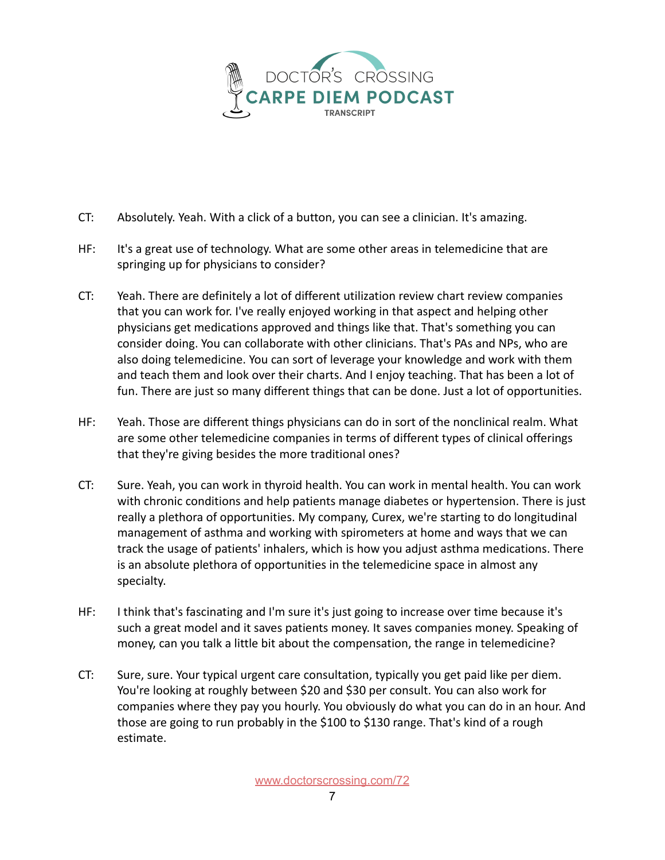

- CT: Absolutely. Yeah. With a click of a button, you can see a clinician. It's amazing.
- HF: It's a great use of technology. What are some other areas in telemedicine that are springing up for physicians to consider?
- CT: Yeah. There are definitely a lot of different utilization review chart review companies that you can work for. I've really enjoyed working in that aspect and helping other physicians get medications approved and things like that. That's something you can consider doing. You can collaborate with other clinicians. That's PAs and NPs, who are also doing telemedicine. You can sort of leverage your knowledge and work with them and teach them and look over their charts. And I enjoy teaching. That has been a lot of fun. There are just so many different things that can be done. Just a lot of opportunities.
- HF: Yeah. Those are different things physicians can do in sort of the nonclinical realm. What are some other telemedicine companies in terms of different types of clinical offerings that they're giving besides the more traditional ones?
- CT: Sure. Yeah, you can work in thyroid health. You can work in mental health. You can work with chronic conditions and help patients manage diabetes or hypertension. There is just really a plethora of opportunities. My company, Curex, we're starting to do longitudinal management of asthma and working with spirometers at home and ways that we can track the usage of patients' inhalers, which is how you adjust asthma medications. There is an absolute plethora of opportunities in the telemedicine space in almost any specialty.
- HF: I think that's fascinating and I'm sure it's just going to increase over time because it's such a great model and it saves patients money. It saves companies money. Speaking of money, can you talk a little bit about the compensation, the range in telemedicine?
- CT: Sure, sure. Your typical urgent care consultation, typically you get paid like per diem. You're looking at roughly between \$20 and \$30 per consult. You can also work for companies where they pay you hourly. You obviously do what you can do in an hour. And those are going to run probably in the \$100 to \$130 range. That's kind of a rough estimate.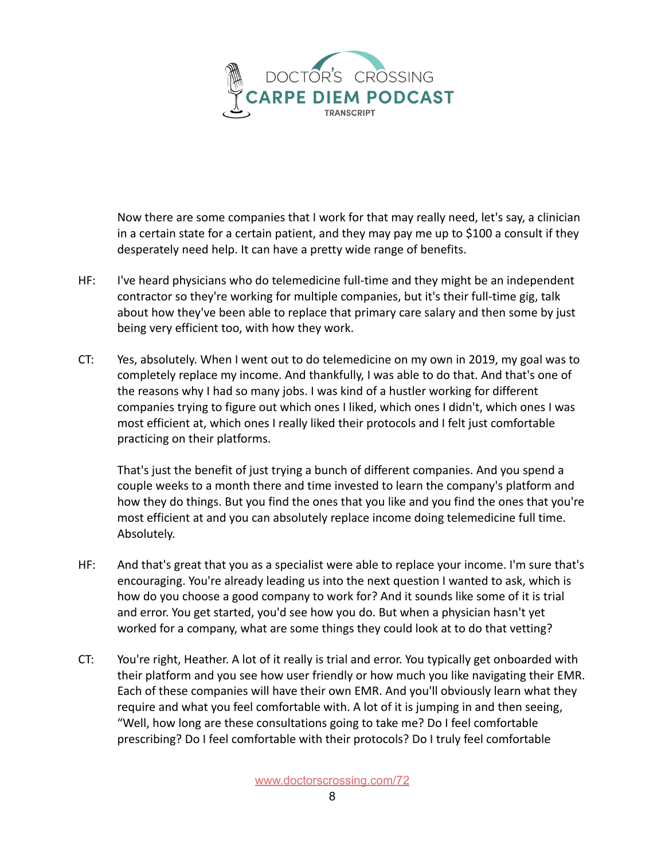

Now there are some companies that I work for that may really need, let's say, a clinician in a certain state for a certain patient, and they may pay me up to \$100 a consult if they desperately need help. It can have a pretty wide range of benefits.

- HF: I've heard physicians who do telemedicine full-time and they might be an independent contractor so they're working for multiple companies, but it's their full-time gig, talk about how they've been able to replace that primary care salary and then some by just being very efficient too, with how they work.
- CT: Yes, absolutely. When I went out to do telemedicine on my own in 2019, my goal was to completely replace my income. And thankfully, I was able to do that. And that's one of the reasons why I had so many jobs. I was kind of a hustler working for different companies trying to figure out which ones I liked, which ones I didn't, which ones I was most efficient at, which ones I really liked their protocols and I felt just comfortable practicing on their platforms.

That's just the benefit of just trying a bunch of different companies. And you spend a couple weeks to a month there and time invested to learn the company's platform and how they do things. But you find the ones that you like and you find the ones that you're most efficient at and you can absolutely replace income doing telemedicine full time. Absolutely.

- HF: And that's great that you as a specialist were able to replace your income. I'm sure that's encouraging. You're already leading us into the next question I wanted to ask, which is how do you choose a good company to work for? And it sounds like some of it is trial and error. You get started, you'd see how you do. But when a physician hasn't yet worked for a company, what are some things they could look at to do that vetting?
- CT: You're right, Heather. A lot of it really is trial and error. You typically get onboarded with their platform and you see how user friendly or how much you like navigating their EMR. Each of these companies will have their own EMR. And you'll obviously learn what they require and what you feel comfortable with. A lot of it is jumping in and then seeing, "Well, how long are these consultations going to take me? Do I feel comfortable prescribing? Do I feel comfortable with their protocols? Do I truly feel comfortable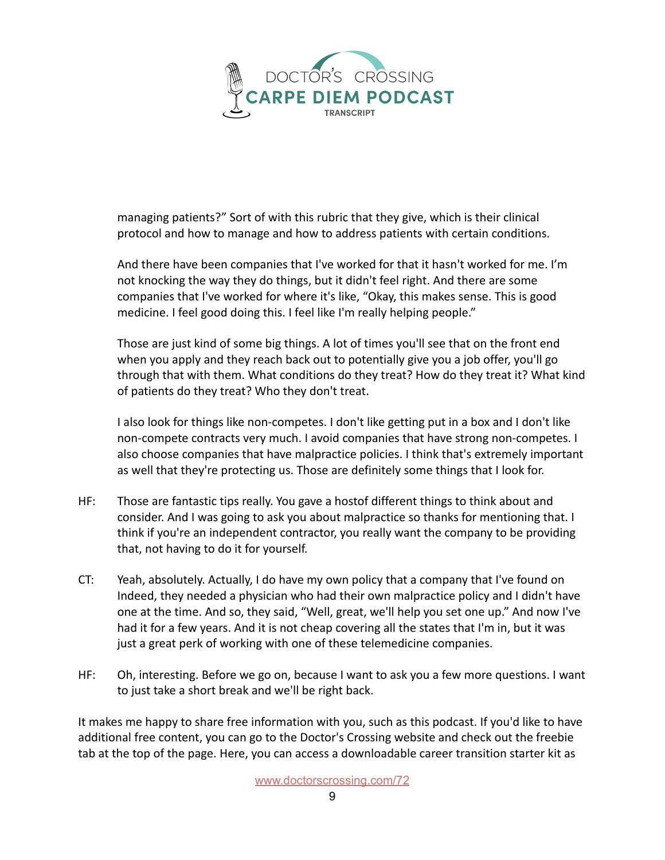

managing patients?" Sort of with this rubric that they give, which is their clinical protocol and how to manage and how to address patients with certain conditions.

And there have been companies that I've worked for that it hasn't worked for me. I'm not knocking the way they do things, but it didn't feel right. And there are some companies that I've worked for where it's like, "Okay, this makes sense. This is good medicine. I feel good doing this. I feel like I'm really helping people."

Those are just kind of some big things. A lot of times you'll see that on the front end when you apply and they reach back out to potentially give you a job offer, you'll go through that with them. What conditions do they treat? How do they treat it? What kind of patients do they treat? Who they don't treat.

I also look for things like non-competes. I don't like getting put in a box and I don't like non-compete contracts very much. I avoid companies that have strong non-competes. I also choose companies that have malpractice policies. I think that's extremely important as well that they're protecting us. Those are definitely some things that I look for.

- HF: Those are fantastic tips really. You gave a hostof different things to think about and consider. And I was going to ask you about malpractice so thanks for mentioning that. I think if you're an independent contractor, you really want the company to be providing that, not having to do it for yourself.
- CT: Yeah, absolutely. Actually, I do have my own policy that a company that I've found on Indeed, they needed a physician who had their own malpractice policy and I didn't have one at the time. And so, they said, "Well, great, we'll help you set one up." And now I've had it for a few years. And it is not cheap covering all the states that I'm in, but it was just a great perk of working with one of these telemedicine companies.
- HF: Oh, interesting. Before we go on, because I want to ask you a few more questions. I want to just take a short break and we'll be right back.

It makes me happy to share free information with you, such as this podcast. If you'd like to have additional free content, you can go to the Doctor's Crossing website and check out the freebie tab at the top of the page. Here, you can access a downloadable career transition starter kit as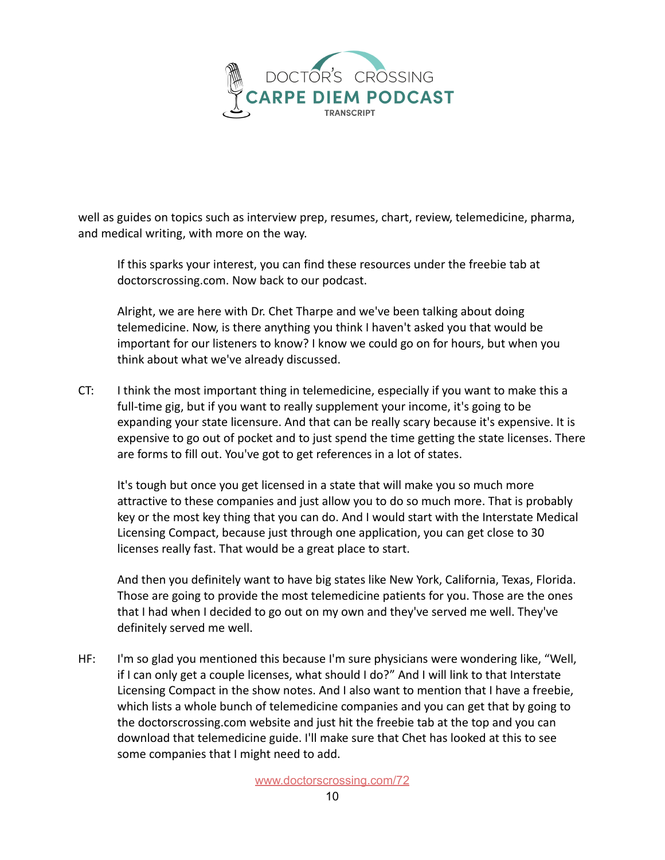

well as guides on topics such as interview prep, resumes, chart, review, telemedicine, pharma, and medical writing, with more on the way.

If this sparks your interest, you can find these resources under the freebie tab at doctorscrossing.com. Now back to our podcast.

Alright, we are here with Dr. Chet Tharpe and we've been talking about doing telemedicine. Now, is there anything you think I haven't asked you that would be important for our listeners to know? I know we could go on for hours, but when you think about what we've already discussed.

CT: I think the most important thing in telemedicine, especially if you want to make this a full-time gig, but if you want to really supplement your income, it's going to be expanding your state licensure. And that can be really scary because it's expensive. It is expensive to go out of pocket and to just spend the time getting the state licenses. There are forms to fill out. You've got to get references in a lot of states.

It's tough but once you get licensed in a state that will make you so much more attractive to these companies and just allow you to do so much more. That is probably key or the most key thing that you can do. And I would start with the Interstate Medical Licensing Compact, because just through one application, you can get close to 30 licenses really fast. That would be a great place to start.

And then you definitely want to have big states like New York, California, Texas, Florida. Those are going to provide the most telemedicine patients for you. Those are the ones that I had when I decided to go out on my own and they've served me well. They've definitely served me well.

HF: I'm so glad you mentioned this because I'm sure physicians were wondering like, "Well, if I can only get a couple licenses, what should I do?" And I will link to that Interstate Licensing Compact in the show notes. And I also want to mention that I have a freebie, which lists a whole bunch of telemedicine companies and you can get that by going to the doctorscrossing.com website and just hit the freebie tab at the top and you can download that telemedicine guide. I'll make sure that Chet has looked at this to see some companies that I might need to add.